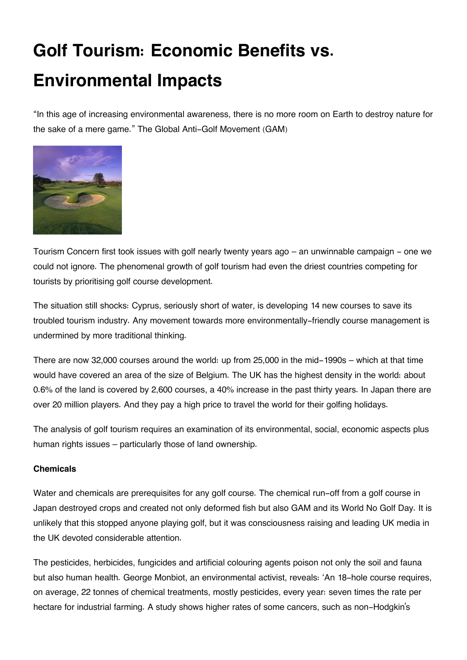# **Golf Tourism: Economic Benefits vs. Environmental Impacts**

"In this age of increasing environmental awareness, there is no more room on Earth to destroy nature for the sake of a mere game." The Global Anti-Golf Movement (GAM)



Tourism Concern first took issues with golf nearly twenty years ago – an unwinnable campaign - one we could not ignore. The phenomenal growth of golf tourism had even the driest countries competing for tourists by prioritising golf course development.

The situation still shocks: Cyprus, seriously short of water, is developing 14 new courses to save its troubled tourism industry. Any movement towards more environmentally-friendly course management is undermined by more traditional thinking.

There are now 32,000 courses around the world: up from 25,000 in the mid-1990s – which at that time would have covered an area of the size of Belgium. The UK has the highest density in the world: about 0.6% of the land is covered by 2,600 courses, a 40% increase in the past thirty years. In Japan there are over 20 million players. And they pay a high price to travel the world for their golfing holidays.

The analysis of golf tourism requires an examination of its environmental, social, economic aspects plus human rights issues – particularly those of land ownership.

## **Chemicals**

Water and chemicals are prerequisites for any golf course. The chemical run-off from a golf course in Japan destroyed crops and created not only deformed fish but also GAM and its World No Golf Day. It is unlikely that this stopped anyone playing golf, but it was consciousness raising and leading UK media in the UK devoted considerable attention.

The pesticides, herbicides, fungicides and artificial colouring agents poison not only the soil and fauna but also human health. George Monbiot, an environmental activist, reveals: 'An 18-hole course requires, on average, 22 tonnes of chemical treatments, mostly pesticides, every year: seven times the rate per hectare for industrial farming. A study shows higher rates of some cancers, such as non-Hodgkin's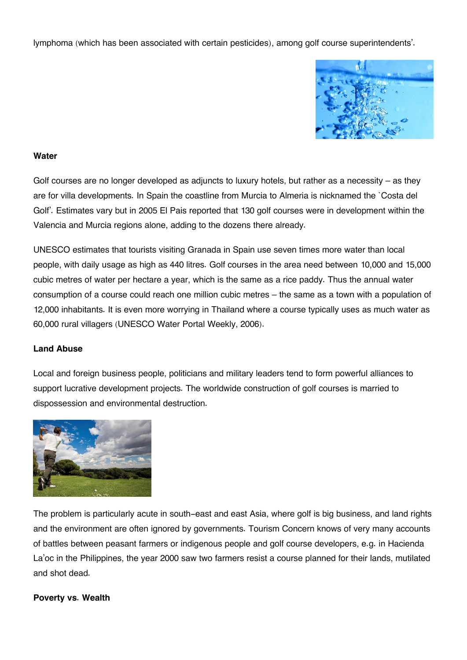lymphoma (which has been associated with certain pesticides), among golf course superintendents'.



### **Water**

Golf courses are no longer developed as adjuncts to luxury hotels, but rather as a necessity – as they are for villa developments. In Spain the coastline from Murcia to Almeria is nicknamed the `Costa del Golf'. Estimates vary but in 2005 El Pais reported that 130 golf courses were in development within the Valencia and Murcia regions alone, adding to the dozens there already.

UNESCO estimates that tourists visiting Granada in Spain use seven times more water than local people, with daily usage as high as 440 litres. Golf courses in the area need between 10,000 and 15,000 cubic metres of water per hectare a year, which is the same as a rice paddy. Thus the annual water consumption of a course could reach one million cubic metres – the same as a town with a population of 12,000 inhabitants. It is even more worrying in Thailand where a course typically uses as much water as 60,000 rural villagers (UNESCO Water Portal Weekly, 2006).

#### **Land Abuse**

Local and foreign business people, politicians and military leaders tend to form powerful alliances to support lucrative development projects. The worldwide construction of golf courses is married to dispossession and environmental destruction.



The problem is particularly acute in south-east and east Asia, where golf is big business, and land rights and the environment are often ignored by governments. Tourism Concern knows of very many accounts of battles between peasant farmers or indigenous people and golf course developers, e.g. in Hacienda La'oc in the Philippines, the year 2000 saw two farmers resist a course planned for their lands, mutilated and shot dead.

#### **Poverty vs. Wealth**